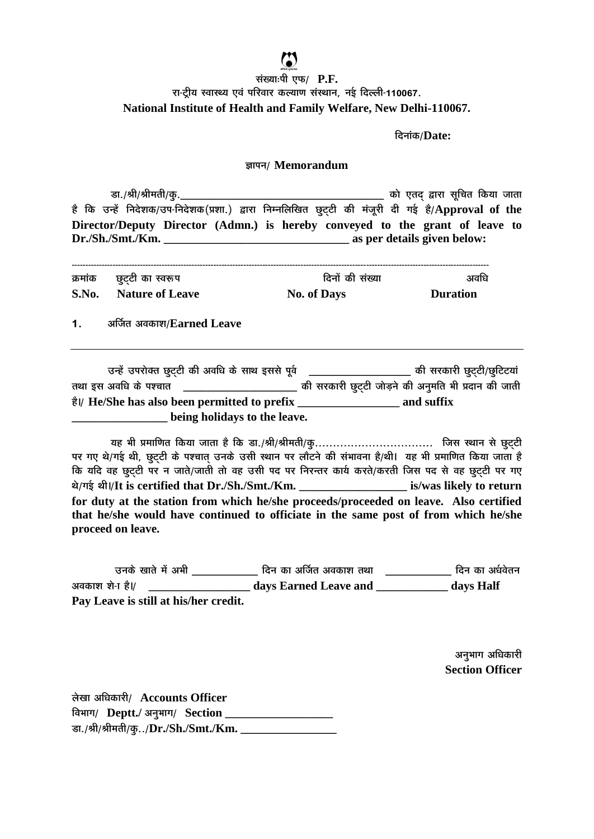दिनांक/Date:

## ज्ञापन/ Memorandum

है कि उन्हें निदेशक/उप-निदेशक(प्रशा.) द्वारा निम्नलिखित छुट्टी की मंजूरी दी गई है/Approval of the Director/Deputy Director (Admn.) is hereby conveyed to the grant of leave to 

|       | क्रमांक छूट्टी का स्वरूप | दिनों की संख्या    | अवधि            |
|-------|--------------------------|--------------------|-----------------|
| S.No. | . Nature of Leave        | <b>No. of Days</b> | <b>Duration</b> |

 $1<sup>1</sup>$ अर्जित अवकाश/Earned Leave

| उन्हें उपरोक्त छुट्टी की अवधि के साथ इससे पूर्व | की सरकारी छुट्टी/छुटिटयां                           |  |
|-------------------------------------------------|-----------------------------------------------------|--|
| तथा इस अवधि के पश्चात                           | की सरकारी छुट्टी जोड़ने की अनुमति भी प्रदान की जाती |  |
| है।/ He/She has also been permitted to prefix   | and suffix                                          |  |
| being holidays to the leave.                    |                                                     |  |

पर गए थे/गई थी, छूट्टी के पश्चात उनके उसी स्थान पर लौटने की संभावना है/थी। यह भी प्रमाणित किया जाता है कि यदि वह छुट्टी पर न जाते/जाती तो वह उसी पद पर निरन्तर कार्य करते/करती जिस पद से वह छुट्टी पर गए थे/गई थी।/It is certified that Dr./Sh./Smt./Km. is/was likely to return for duty at the station from which he/she proceeds/proceeded on leave. Also certified that he/she would have continued to officiate in the same post of from which he/she proceed on leave.

.<br>उनके खाते में अभी ताया कि बाद अर्जित अवकाश तथा ताया का प्रथित का अर्धवेतन अवकाश शे-1 है।/ The days Earned Leave and days Half Pay Leave is still at his/her credit.

> अनुभाग अधिकारी **Section Officer**

लेखा अधिकारी/ Accounts Officer विभाग/ Deptt./ अनुभाग/ Section \_\_\_\_\_\_\_\_\_\_\_\_\_\_\_\_\_\_\_\_\_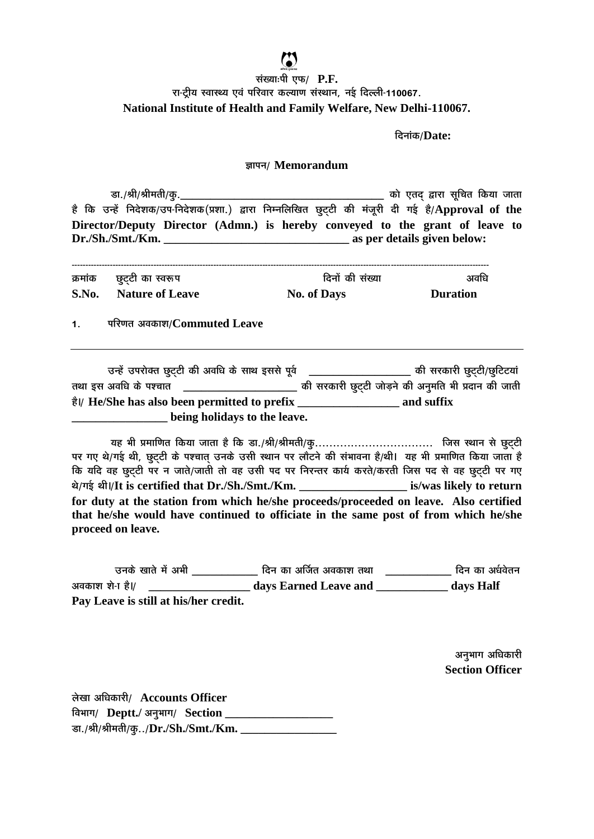दिनांक/Date:

## ज्ञापन/ Memorandum

है कि उन्हें निदेशक/उप-निदेशक(प्रशा.) द्वारा निम्नलिखित छुट्टी की मंजूरी दी गई है/Approval of the Director/Deputy Director (Admn.) is hereby conveyed to the grant of leave to 

| क्रमांक छूट्टी का स्वरूप | दिनों की संख्या    | अवधि            |
|--------------------------|--------------------|-----------------|
| S.No. Nature of Leave    | <b>No. of Days</b> | <b>Duration</b> |

परिणत अवकाश/Commuted Leave  $1<sup>1</sup>$ 

| उन्हें उपरोक्त छुट्टी की अवधि के साथ इससे पूर्व | की सरकारी छुट्टी/छुटिटयां                           |  |
|-------------------------------------------------|-----------------------------------------------------|--|
| तथा इस अवधि के पश्चात                           | की सरकारी छुट्टी जोड़ने की अनुमति भी प्रदान की जाती |  |
| है।/ He/She has also been permitted to prefix   | and suffix                                          |  |
| being holidays to the leave.                    |                                                     |  |

पर गए थे/गई थी, छूट्टी के पश्चात उनके उसी स्थान पर लौटने की संभावना है/थी। यह भी प्रमाणित किया जाता है कि यदि वह छुट्टी पर न जाते/जाती तो वह उसी पद पर निरन्तर कार्य करते/करती जिस पद से वह छुट्टी पर गए थे/गई थी।/It is certified that Dr./Sh./Smt./Km. is/was likely to return for duty at the station from which he/she proceeds/proceeded on leave. Also certified that he/she would have continued to officiate in the same post of from which he/she proceed on leave.

.<br>उनके खाते में अभी ताया कि बाद अर्जित अवकाश तथा ताया का प्रथित का अर्धवेतन अवकाश शे-1 है।/ The days Earned Leave and days Half Pay Leave is still at his/her credit.

> अनुभाग अधिकारी **Section Officer**

लेखा अधिकारी/ Accounts Officer विभाग/ Deptt./ अनुभाग/ Section \_\_\_\_\_\_\_\_\_\_\_\_\_\_\_\_\_\_\_\_\_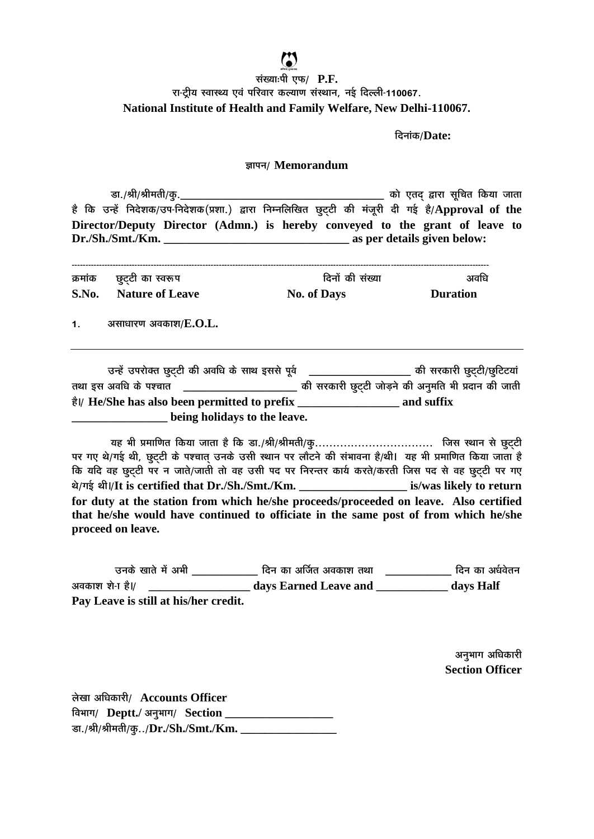दिनांक/Date:

## ज्ञापन/ Memorandum

है कि उन्हें निदेशक/उप-निदेशक(प्रशा.) द्वारा निम्नलिखित छुट्टी की मंजूरी दी गई है/Approval of the Director/Deputy Director (Admn.) is hereby conveyed to the grant of leave to 

|       | क्रमांक छूट्टी का स्वरूप | दिनों की संख्या    | अवधि            |
|-------|--------------------------|--------------------|-----------------|
| S.No. | <b>Nature of Leave</b>   | <b>No. of Days</b> | <b>Duration</b> |
| 1.    | असाधारण अवकाश/ $E.O.L.$  |                    |                 |

| उन्हें उपरोक्त छुट्टी की अवधि के साथ इससे पूर्व | की सरकारी छुट्टी/छुटिटयां                           |  |
|-------------------------------------------------|-----------------------------------------------------|--|
| तथा इस अवधि के पश्चात                           | की सरकारी छुट्टी जोड़ने की अनुमति भी प्रदान की जाती |  |
| है।/ He/She has also been permitted to prefix   | and suffix                                          |  |
| being holidays to the leave.                    |                                                     |  |

पर गए थे/गई थी, छूट्टी के पश्चात उनके उसी स्थान पर लौटने की संभावना है/थी। यह भी प्रमाणित किया जाता है कि यदि वह छुट्टी पर न जाते/जाती तो वह उसी पद पर निरन्तर कार्य करते/करती जिस पद से वह छुट्टी पर गए थे/गई थी।/It is certified that Dr./Sh./Smt./Km. is/was likely to return for duty at the station from which he/she proceeds/proceeded on leave. Also certified that he/she would have continued to officiate in the same post of from which he/she proceed on leave.

.<br>उनके खाते में अभी ताया कि बाद अर्जित अवकाश तथा ताया का प्रथित का अर्धवेतन अवकाश शे-1 है।/ The days Earned Leave and days Half Pay Leave is still at his/her credit.

> अनुभाग अधिकारी **Section Officer**

लेखा अधिकारी/ Accounts Officer